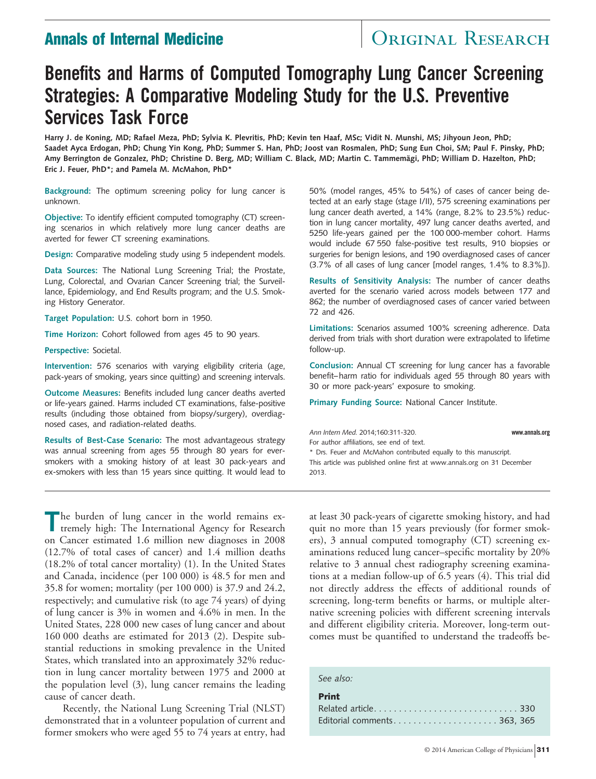# **Annals of Internal Medicine CENTER SEARCH**

# **Benefits and Harms of Computed Tomography Lung Cancer Screening Strategies: A Comparative Modeling Study for the U.S. Preventive Services Task Force**

**Harry J. de Koning, MD; Rafael Meza, PhD; Sylvia K. Plevritis, PhD; Kevin ten Haaf, MSc; Vidit N. Munshi, MS; Jihyoun Jeon, PhD; Saadet Ayca Erdogan, PhD; Chung Yin Kong, PhD; Summer S. Han, PhD; Joost van Rosmalen, PhD; Sung Eun Choi, SM; Paul F. Pinsky, PhD;** Amy Berrington de Gonzalez, PhD; Christine D. Berg, MD; William C. Black, MD; Martin C. Tammemägi, PhD; William D. Hazelton, PhD; **Eric J. Feuer, PhD\*; and Pamela M. McMahon, PhD\***

**Background:** The optimum screening policy for lung cancer is unknown.

**Objective:** To identify efficient computed tomography (CT) screening scenarios in which relatively more lung cancer deaths are averted for fewer CT screening examinations.

**Design:** Comparative modeling study using 5 independent models.

**Data Sources:** The National Lung Screening Trial; the Prostate, Lung, Colorectal, and Ovarian Cancer Screening trial; the Surveillance, Epidemiology, and End Results program; and the U.S. Smoking History Generator.

**Target Population:** U.S. cohort born in 1950.

**Time Horizon:** Cohort followed from ages 45 to 90 years.

**Perspective:** Societal.

**Intervention:** 576 scenarios with varying eligibility criteria (age, pack-years of smoking, years since quitting) and screening intervals.

**Outcome Measures:** Benefits included lung cancer deaths averted or life-years gained. Harms included CT examinations, false-positive results (including those obtained from biopsy/surgery), overdiagnosed cases, and radiation-related deaths.

**Results of Best-Case Scenario:** The most advantageous strategy was annual screening from ages 55 through 80 years for eversmokers with a smoking history of at least 30 pack-years and ex-smokers with less than 15 years since quitting. It would lead to 50% (model ranges, 45% to 54%) of cases of cancer being detected at an early stage (stage I/II), 575 screening examinations per lung cancer death averted, a 14% (range, 8.2% to 23.5%) reduction in lung cancer mortality, 497 lung cancer deaths averted, and 5250 life-years gained per the 100 000-member cohort. Harms would include 67 550 false-positive test results, 910 biopsies or surgeries for benign lesions, and 190 overdiagnosed cases of cancer (3.7% of all cases of lung cancer [model ranges, 1.4% to 8.3%]).

**Results of Sensitivity Analysis:** The number of cancer deaths averted for the scenario varied across models between 177 and 862; the number of overdiagnosed cases of cancer varied between 72 and 426.

**Limitations:** Scenarios assumed 100% screening adherence. Data derived from trials with short duration were extrapolated to lifetime follow-up.

**Conclusion:** Annual CT screening for lung cancer has a favorable benefit–harm ratio for individuals aged 55 through 80 years with 30 or more pack-years' exposure to smoking.

**Primary Funding Source:** National Cancer Institute.

*Ann Intern Med.* 2014;160:311-320. **www.annals.org** For author affiliations, see end of text. \* Drs. Feuer and McMahon contributed equally to this manuscript. This article was published online first at [www.annals.org](http://www.annals.org) on 31 December 2013.

**T**he burden of lung cancer in the world remains extremely high: The International Agency for Research on Cancer estimated 1.6 million new diagnoses in 2008 (12.7% of total cases of cancer) and 1.4 million deaths (18.2% of total cancer mortality) (1). In the United States and Canada, incidence (per 100 000) is 48.5 for men and 35.8 for women; mortality (per 100 000) is 37.9 and 24.2, respectively; and cumulative risk (to age 74 years) of dying of lung cancer is 3% in women and 4.6% in men. In the United States, 228 000 new cases of lung cancer and about 160 000 deaths are estimated for 2013 (2). Despite substantial reductions in smoking prevalence in the United States, which translated into an approximately 32% reduction in lung cancer mortality between 1975 and 2000 at the population level (3), lung cancer remains the leading cause of cancer death.

Recently, the National Lung Screening Trial (NLST) demonstrated that in a volunteer population of current and former smokers who were aged 55 to 74 years at entry, had at least 30 pack-years of cigarette smoking history, and had quit no more than 15 years previously (for former smokers), 3 annual computed tomography (CT) screening examinations reduced lung cancer–specific mortality by 20% relative to 3 annual chest radiography screening examinations at a median follow-up of 6.5 years (4). This trial did not directly address the effects of additional rounds of screening, long-term benefits or harms, or multiple alternative screening policies with different screening intervals and different eligibility criteria. Moreover, long-term outcomes must be quantified to understand the tradeoffs be-

#### *See also:*

| <b>Print</b>                |  |
|-----------------------------|--|
|                             |  |
| Editorial comments 363, 365 |  |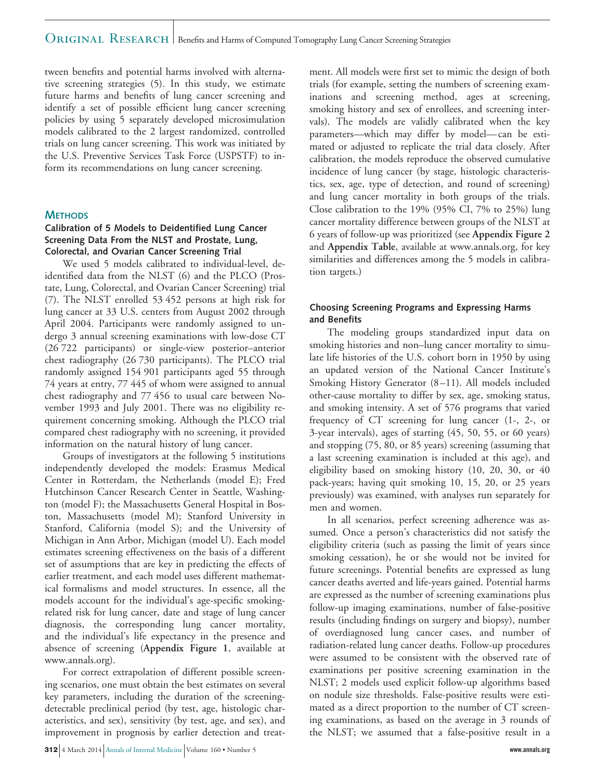tween benefits and potential harms involved with alternative screening strategies (5). In this study, we estimate future harms and benefits of lung cancer screening and identify a set of possible efficient lung cancer screening policies by using 5 separately developed microsimulation models calibrated to the 2 largest randomized, controlled trials on lung cancer screening. This work was initiated by the U.S. Preventive Services Task Force (USPSTF) to inform its recommendations on lung cancer screening.

### **METHODS**

#### **Calibration of 5 Models to Deidentified Lung Cancer Screening Data From the NLST and Prostate, Lung, Colorectal, and Ovarian Cancer Screening Trial**

We used 5 models calibrated to individual-level, deidentified data from the NLST (6) and the PLCO (Prostate, Lung, Colorectal, and Ovarian Cancer Screening) trial (7). The NLST enrolled 53 452 persons at high risk for lung cancer at 33 U.S. centers from August 2002 through April 2004. Participants were randomly assigned to undergo 3 annual screening examinations with low-dose CT (26 722 participants) or single-view posterior–anterior chest radiography (26 730 participants). The PLCO trial randomly assigned 154 901 participants aged 55 through 74 years at entry, 77 445 of whom were assigned to annual chest radiography and 77 456 to usual care between November 1993 and July 2001. There was no eligibility requirement concerning smoking. Although the PLCO trial compared chest radiography with no screening, it provided information on the natural history of lung cancer.

Groups of investigators at the following 5 institutions independently developed the models: Erasmus Medical Center in Rotterdam, the Netherlands (model E); Fred Hutchinson Cancer Research Center in Seattle, Washington (model F); the Massachusetts General Hospital in Boston, Massachusetts (model M); Stanford University in Stanford, California (model S); and the University of Michigan in Ann Arbor, Michigan (model U). Each model estimates screening effectiveness on the basis of a different set of assumptions that are key in predicting the effects of earlier treatment, and each model uses different mathematical formalisms and model structures. In essence, all the models account for the individual's age-specific smokingrelated risk for lung cancer, date and stage of lung cancer diagnosis, the corresponding lung cancer mortality, and the individual's life expectancy in the presence and absence of screening (**Appendix Figure 1**, available at [www.annals.org\)](http://www.annals.org).

For correct extrapolation of different possible screening scenarios, one must obtain the best estimates on several key parameters, including the duration of the screeningdetectable preclinical period (by test, age, histologic characteristics, and sex), sensitivity (by test, age, and sex), and improvement in prognosis by earlier detection and treat-

**312** 4 March 2014 Annals of Internal Medicine Volume 160 • Number 5 **www.annals.org**

ment. All models were first set to mimic the design of both trials (for example, setting the numbers of screening examinations and screening method, ages at screening, smoking history and sex of enrollees, and screening intervals). The models are validly calibrated when the key parameters—which may differ by model—can be estimated or adjusted to replicate the trial data closely. After calibration, the models reproduce the observed cumulative incidence of lung cancer (by stage, histologic characteristics, sex, age, type of detection, and round of screening) and lung cancer mortality in both groups of the trials. Close calibration to the 19% (95% CI, 7% to 25%) lung cancer mortality difference between groups of the NLST at 6 years of follow-up was prioritized (see **Appendix Figure 2** and **Appendix Table**, available at [www.annals.org,](http://www.annals.org) for key similarities and differences among the 5 models in calibration targets.)

### **Choosing Screening Programs and Expressing Harms and Benefits**

The modeling groups standardized input data on smoking histories and non–lung cancer mortality to simulate life histories of the U.S. cohort born in 1950 by using an updated version of the National Cancer Institute's Smoking History Generator (8–11). All models included other-cause mortality to differ by sex, age, smoking status, and smoking intensity. A set of 576 programs that varied frequency of CT screening for lung cancer (1-, 2-, or 3-year intervals), ages of starting (45, 50, 55, or 60 years) and stopping (75, 80, or 85 years) screening (assuming that a last screening examination is included at this age), and eligibility based on smoking history (10, 20, 30, or 40 pack-years; having quit smoking 10, 15, 20, or 25 years previously) was examined, with analyses run separately for men and women.

In all scenarios, perfect screening adherence was assumed. Once a person's characteristics did not satisfy the eligibility criteria (such as passing the limit of years since smoking cessation), he or she would not be invited for future screenings. Potential benefits are expressed as lung cancer deaths averted and life-years gained. Potential harms are expressed as the number of screening examinations plus follow-up imaging examinations, number of false-positive results (including findings on surgery and biopsy), number of overdiagnosed lung cancer cases, and number of radiation-related lung cancer deaths. Follow-up procedures were assumed to be consistent with the observed rate of examinations per positive screening examination in the NLST; 2 models used explicit follow-up algorithms based on nodule size thresholds. False-positive results were estimated as a direct proportion to the number of CT screening examinations, as based on the average in 3 rounds of the NLST; we assumed that a false-positive result in a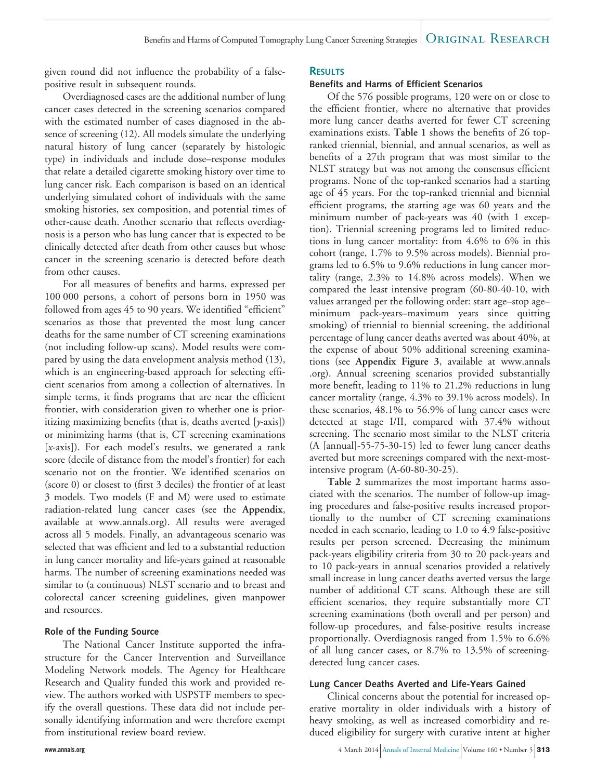given round did not influence the probability of a falsepositive result in subsequent rounds.

Overdiagnosed cases are the additional number of lung cancer cases detected in the screening scenarios compared with the estimated number of cases diagnosed in the absence of screening (12). All models simulate the underlying natural history of lung cancer (separately by histologic type) in individuals and include dose–response modules that relate a detailed cigarette smoking history over time to lung cancer risk. Each comparison is based on an identical underlying simulated cohort of individuals with the same smoking histories, sex composition, and potential times of other-cause death. Another scenario that reflects overdiagnosis is a person who has lung cancer that is expected to be clinically detected after death from other causes but whose cancer in the screening scenario is detected before death from other causes.

For all measures of benefits and harms, expressed per 100 000 persons, a cohort of persons born in 1950 was followed from ages 45 to 90 years. We identified "efficient" scenarios as those that prevented the most lung cancer deaths for the same number of CT screening examinations (not including follow-up scans). Model results were compared by using the data envelopment analysis method (13), which is an engineering-based approach for selecting efficient scenarios from among a collection of alternatives. In simple terms, it finds programs that are near the efficient frontier, with consideration given to whether one is prioritizing maximizing benefits (that is, deaths averted [*y*-axis]) or minimizing harms (that is, CT screening examinations [*x*-axis]). For each model's results, we generated a rank score (decile of distance from the model's frontier) for each scenario not on the frontier. We identified scenarios on (score 0) or closest to (first 3 deciles) the frontier of at least 3 models. Two models (F and M) were used to estimate radiation-related lung cancer cases (see the **Appendix**, available at [www.annals.org\)](http://www.annals.org). All results were averaged across all 5 models. Finally, an advantageous scenario was selected that was efficient and led to a substantial reduction in lung cancer mortality and life-years gained at reasonable harms. The number of screening examinations needed was similar to (a continuous) NLST scenario and to breast and colorectal cancer screening guidelines, given manpower and resources.

#### **Role of the Funding Source**

The National Cancer Institute supported the infrastructure for the Cancer Intervention and Surveillance Modeling Network models. The Agency for Healthcare Research and Quality funded this work and provided review. The authors worked with USPSTF members to specify the overall questions. These data did not include personally identifying information and were therefore exempt from institutional review board review.

### **RESULTS**

### **Benefits and Harms of Efficient Scenarios**

Of the 576 possible programs, 120 were on or close to the efficient frontier, where no alternative that provides more lung cancer deaths averted for fewer CT screening examinations exists. **Table 1** shows the benefits of 26 topranked triennial, biennial, and annual scenarios, as well as benefits of a 27th program that was most similar to the NLST strategy but was not among the consensus efficient programs. None of the top-ranked scenarios had a starting age of 45 years. For the top-ranked triennial and biennial efficient programs, the starting age was 60 years and the minimum number of pack-years was 40 (with 1 exception). Triennial screening programs led to limited reductions in lung cancer mortality: from 4.6% to 6% in this cohort (range, 1.7% to 9.5% across models). Biennial programs led to 6.5% to 9.6% reductions in lung cancer mortality (range, 2.3% to 14.8% across models). When we compared the least intensive program (60-80-40-10, with values arranged per the following order: start age–stop age– minimum pack-years–maximum years since quitting smoking) of triennial to biennial screening, the additional percentage of lung cancer deaths averted was about 40%, at the expense of about 50% additional screening examinations (see **Appendix Figure 3**, available at [www.annals](http://www.annals.org) [.org\)](http://www.annals.org). Annual screening scenarios provided substantially more benefit, leading to 11% to 21.2% reductions in lung cancer mortality (range, 4.3% to 39.1% across models). In these scenarios, 48.1% to 56.9% of lung cancer cases were detected at stage I/II, compared with 37.4% without screening. The scenario most similar to the NLST criteria (A [annual]-55-75-30-15) led to fewer lung cancer deaths averted but more screenings compared with the next-mostintensive program (A-60-80-30-25).

**Table 2** summarizes the most important harms associated with the scenarios. The number of follow-up imaging procedures and false-positive results increased proportionally to the number of CT screening examinations needed in each scenario, leading to 1.0 to 4.9 false-positive results per person screened. Decreasing the minimum pack-years eligibility criteria from 30 to 20 pack-years and to 10 pack-years in annual scenarios provided a relatively small increase in lung cancer deaths averted versus the large number of additional CT scans. Although these are still efficient scenarios, they require substantially more CT screening examinations (both overall and per person) and follow-up procedures, and false-positive results increase proportionally. Overdiagnosis ranged from 1.5% to 6.6% of all lung cancer cases, or 8.7% to 13.5% of screeningdetected lung cancer cases.

#### **Lung Cancer Deaths Averted and Life-Years Gained**

Clinical concerns about the potential for increased operative mortality in older individuals with a history of heavy smoking, as well as increased comorbidity and reduced eligibility for surgery with curative intent at higher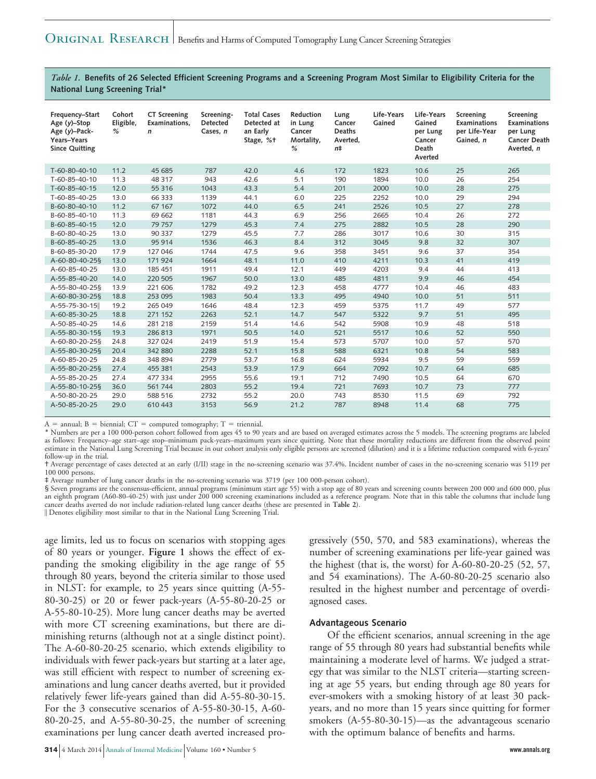*Table 1.* **Benefits of 26 Selected Efficient Screening Programs and a Screening Program Most Similar to Eligibility Criteria for the National Lung Screening Trial\***

| Frequency-Start<br>Age $(y)$ -Stop<br>Age (y)-Pack-<br>Years-Years<br><b>Since Quitting</b> | Cohort<br>Eligible,<br>% | <b>CT</b> Screening<br>Examinations.<br>$\mathsf{n}$ | Screening-<br><b>Detected</b><br>Cases. n | <b>Total Cases</b><br>Detected at<br>an Early<br>Stage, %+ | Reduction<br>in Lung<br>Cancer<br>Mortality,<br>% | Lung<br>Cancer<br>Deaths<br>Averted,<br>n <sup>±</sup> | Life-Years<br>Gained | Life-Years<br>Gained<br>per Lung<br>Cancer<br>Death<br>Averted | Screening<br><b>Examinations</b><br>per Life-Year<br>Gained, n | Screening<br>Examinations<br>per Lung<br>Cancer Death<br>Averted. n |
|---------------------------------------------------------------------------------------------|--------------------------|------------------------------------------------------|-------------------------------------------|------------------------------------------------------------|---------------------------------------------------|--------------------------------------------------------|----------------------|----------------------------------------------------------------|----------------------------------------------------------------|---------------------------------------------------------------------|
| $T-60-80-40-10$                                                                             | 11.2                     | 45 685                                               | 787                                       | 42.0                                                       | 4.6                                               | 172                                                    | 1823                 | 10.6                                                           | 25                                                             | 265                                                                 |
| $T-60-85-40-10$                                                                             | 11.3                     | 48 317                                               | 943                                       | 42.6                                                       | 5.1                                               | 190                                                    | 1894                 | 10.0                                                           | 26                                                             | 254                                                                 |
| $T-60-85-40-15$                                                                             | 12.0                     | 55 316                                               | 1043                                      | 43.3                                                       | 5.4                                               | 201                                                    | 2000                 | 10.0                                                           | 28                                                             | 275                                                                 |
| T-60-85-40-25                                                                               | 13.0                     | 66 333                                               | 1139                                      | 44.1                                                       | 6.0                                               | 225                                                    | 2252                 | 10.0                                                           | 29                                                             | 294                                                                 |
| B-60-80-40-10                                                                               | 11.2                     | 67 167                                               | 1072                                      | 44.0                                                       | 6.5                                               | 241                                                    | 2526                 | 10.5                                                           | 27                                                             | 278                                                                 |
| B-60-85-40-10                                                                               | 11.3                     | 69 662                                               | 1181                                      | 44.3                                                       | 6.9                                               | 256                                                    | 2665                 | 10.4                                                           | 26                                                             | 272                                                                 |
| B-60-85-40-15                                                                               | 12.0                     | 79 757                                               | 1279                                      | 45.3                                                       | 7.4                                               | 275                                                    | 2882                 | 10.5                                                           | 28                                                             | 290                                                                 |
| B-60-80-40-25                                                                               | 13.0                     | 90 337                                               | 1279                                      | 45.5                                                       | 7.7                                               | 286                                                    | 3017                 | 10.6                                                           | 30                                                             | 315                                                                 |
| B-60-85-40-25                                                                               | 13.0                     | 95 914                                               | 1536                                      | 46.3                                                       | 8.4                                               | 312                                                    | 3045                 | 9.8                                                            | 32                                                             | 307                                                                 |
| B-60-85-30-20                                                                               | 17.9                     | 127 046                                              | 1744                                      | 47.5                                                       | 9.6                                               | 358                                                    | 3451                 | 9.6                                                            | 37                                                             | 354                                                                 |
| A-60-80-40-25§                                                                              | 13.0                     | 171 924                                              | 1664                                      | 48.1                                                       | 11.0                                              | 410                                                    | 4211                 | 10.3                                                           | 41                                                             | 419                                                                 |
| A-60-85-40-25                                                                               | 13.0                     | 185 451                                              | 1911                                      | 49.4                                                       | 12.1                                              | 449                                                    | 4203                 | 9.4                                                            | 44                                                             | 413                                                                 |
| A-55-85-40-20                                                                               | 14.0                     | 220 505                                              | 1967                                      | 50.0                                                       | 13.0                                              | 485                                                    | 4811                 | 9.9                                                            | 46                                                             | 454                                                                 |
| A-55-80-40-25§                                                                              | 13.9                     | 221 606                                              | 1782                                      | 49.2                                                       | 12.3                                              | 458                                                    | 4777                 | 10.4                                                           | 46                                                             | 483                                                                 |
| A-60-80-30-25§                                                                              | 18.8                     | 253 095                                              | 1983                                      | 50.4                                                       | 13.3                                              | 495                                                    | 4940                 | 10.0                                                           | 51                                                             | 511                                                                 |
| A-55-75-30-15                                                                               | 19.2                     | 265 049                                              | 1646                                      | 48.4                                                       | 12.3                                              | 459                                                    | 5375                 | 11.7                                                           | 49                                                             | 577                                                                 |
| A-60-85-30-25                                                                               | 18.8                     | 271 152                                              | 2263                                      | 52.1                                                       | 14.7                                              | 547                                                    | 5322                 | 9.7                                                            | 51                                                             | 495                                                                 |
| A-50-85-40-25                                                                               | 14.6                     | 281 218                                              | 2159                                      | 51.4                                                       | 14.6                                              | 542                                                    | 5908                 | 10.9                                                           | 48                                                             | 518                                                                 |
| A-55-80-30-15§                                                                              | 19.3                     | 286813                                               | 1971                                      | 50.5                                                       | 14.0                                              | 521                                                    | 5517                 | 10.6                                                           | 52                                                             | 550                                                                 |
| A-60-80-20-25§                                                                              | 24.8                     | 327 024                                              | 2419                                      | 51.9                                                       | 15.4                                              | 573                                                    | 5707                 | 10.0                                                           | 57                                                             | 570                                                                 |
| A-55-80-30-25§                                                                              | 20.4                     | 342 880                                              | 2288                                      | 52.1                                                       | 15.8                                              | 588                                                    | 6321                 | 10.8                                                           | 54                                                             | 583                                                                 |
| A-60-85-20-25                                                                               | 24.8                     | 348 894                                              | 2779                                      | 53.7                                                       | 16.8                                              | 624                                                    | 5934                 | 9.5                                                            | 59                                                             | 559                                                                 |
| A-55-80-20-25§                                                                              | 27.4                     | 455 381                                              | 2543                                      | 53.9                                                       | 17.9                                              | 664                                                    | 7092                 | 10.7                                                           | 64                                                             | 685                                                                 |
| A-55-85-20-25                                                                               | 27.4                     | 477 334                                              | 2955                                      | 55.6                                                       | 19.1                                              | 712                                                    | 7490                 | 10.5                                                           | 64                                                             | 670                                                                 |
| A-55-80-10-25§                                                                              | 36.0                     | 561 744                                              | 2803                                      | 55.2                                                       | 19.4                                              | 721                                                    | 7693                 | 10.7                                                           | 73                                                             | 777                                                                 |
| A-50-80-20-25                                                                               | 29.0                     | 588 516                                              | 2732                                      | 55.2                                                       | 20.0                                              | 743                                                    | 8530                 | 11.5                                                           | 69                                                             | 792                                                                 |
| A-50-85-20-25                                                                               | 29.0                     | 610 443                                              | 3153                                      | 56.9                                                       | 21.2                                              | 787                                                    | 8948                 | 11.4                                                           | 68                                                             | 775                                                                 |

A = annual; B = biennial; CT = computed tomography; T = triennial.<br>\* Numbers are per a 100 000-person cohort followed from ages 45 to 90 years and are based on averaged estimates across the 5 models. The screening programs as follows: Frequency–age start–age stop–minimum pack-years–maximum years since quitting. Note that these mortality reductions are different from the observed point estimate in the National Lung Screening Trial because in our cohort analysis only eligible persons are screened (dilution) and it is a lifetime reduction compared with 6-years' follow-up in the trial.

† Average percentage of cases detected at an early (I/II) stage in the no-screening scenario was 37.4%. Incident number of cases in the no-screening scenario was 5119 per 100 000 persons.

‡ Average number of lung cancer deaths in the no-screening scenario was 3719 (per 100 000-person cohort).

§ Seven programs are the consensus-efficient, annual programs (minimum start age 55) with a stop age of 80 years and screening counts between 200 000 and 600 000, plus an eighth program (A60-80-40-25) with just under 200 000 screening examinations included as a reference program. Note that in this table the columns that include lung cancer deaths averted do not include radiation-related lung cancer deaths (these are presented in **Table 2**).

- Denotes eligibility most similar to that in the National Lung Screening Trial.

age limits, led us to focus on scenarios with stopping ages of 80 years or younger. **Figure 1** shows the effect of expanding the smoking eligibility in the age range of 55 through 80 years, beyond the criteria similar to those used in NLST: for example, to 25 years since quitting (A-55- 80-30-25) or 20 or fewer pack-years (A-55-80-20-25 or A-55-80-10-25). More lung cancer deaths may be averted with more CT screening examinations, but there are diminishing returns (although not at a single distinct point). The A-60-80-20-25 scenario, which extends eligibility to individuals with fewer pack-years but starting at a later age, was still efficient with respect to number of screening examinations and lung cancer deaths averted, but it provided relatively fewer life-years gained than did A-55-80-30-15. For the 3 consecutive scenarios of A-55-80-30-15, A-60- 80-20-25, and A-55-80-30-25, the number of screening examinations per lung cancer death averted increased progressively (550, 570, and 583 examinations), whereas the number of screening examinations per life-year gained was the highest (that is, the worst) for A-60-80-20-25 (52, 57, and 54 examinations). The A-60-80-20-25 scenario also resulted in the highest number and percentage of overdiagnosed cases.

#### **Advantageous Scenario**

Of the efficient scenarios, annual screening in the age range of 55 through 80 years had substantial benefits while maintaining a moderate level of harms. We judged a strategy that was similar to the NLST criteria—starting screening at age 55 years, but ending through age 80 years for ever-smokers with a smoking history of at least 30 packyears, and no more than 15 years since quitting for former smokers (A-55-80-30-15)—as the advantageous scenario with the optimum balance of benefits and harms.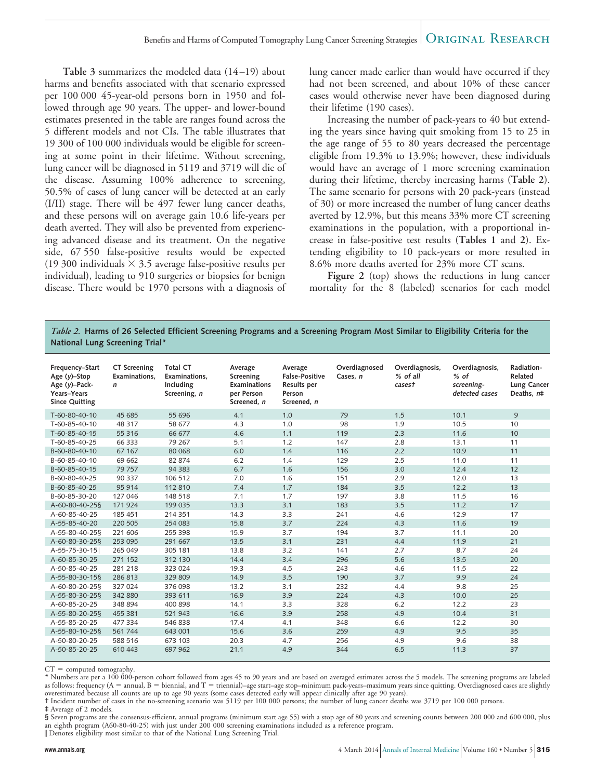**Table 3** summarizes the modeled data (14–19) about harms and benefits associated with that scenario expressed per 100 000 45-year-old persons born in 1950 and followed through age 90 years. The upper- and lower-bound estimates presented in the table are ranges found across the 5 different models and not CIs. The table illustrates that 19 300 of 100 000 individuals would be eligible for screening at some point in their lifetime. Without screening, lung cancer will be diagnosed in 5119 and 3719 will die of the disease. Assuming 100% adherence to screening, 50.5% of cases of lung cancer will be detected at an early (I/II) stage. There will be 497 fewer lung cancer deaths, and these persons will on average gain 10.6 life-years per death averted. They will also be prevented from experiencing advanced disease and its treatment. On the negative side, 67 550 false-positive results would be expected (19 300 individuals  $\times$  3.5 average false-positive results per individual), leading to 910 surgeries or biopsies for benign disease. There would be 1970 persons with a diagnosis of

lung cancer made earlier than would have occurred if they had not been screened, and about 10% of these cancer cases would otherwise never have been diagnosed during their lifetime (190 cases).

Increasing the number of pack-years to 40 but extending the years since having quit smoking from 15 to 25 in the age range of 55 to 80 years decreased the percentage eligible from 19.3% to 13.9%; however, these individuals would have an average of 1 more screening examination during their lifetime, thereby increasing harms (**Table 2**). The same scenario for persons with 20 pack-years (instead of 30) or more increased the number of lung cancer deaths averted by 12.9%, but this means 33% more CT screening examinations in the population, with a proportional increase in false-positive test results (**Tables 1** and **2**). Extending eligibility to 10 pack-years or more resulted in 8.6% more deaths averted for 23% more CT scans.

Figure 2 (top) shows the reductions in lung cancer mortality for the 8 (labeled) scenarios for each model

#### *Table 2.* **Harms of 26 Selected Efficient Screening Programs and a Screening Program Most Similar to Eligibility Criteria for the National Lung Screening Trial\***

| Frequency-Start<br>Age $(y)$ -Stop<br>Age $(y)$ -Pack-<br>Years-Years<br><b>Since Quitting</b> | <b>CT Screening</b><br>Examinations.<br>$\mathsf{n}$ | <b>Total CT</b><br>Examinations.<br>Including<br>Screening, n | Average<br>Screening<br><b>Examinations</b><br>per Person<br>Screened, n | Average<br><b>False-Positive</b><br><b>Results per</b><br>Person<br>Screened, n | Overdiagnosed<br>Cases, n | Overdiagnosis,<br>% of all<br>casest | Overdiagnosis,<br>$%$ of<br>screening-<br>detected cases | Radiation-<br>Related<br>Lung Cancer<br>Deaths, n# |
|------------------------------------------------------------------------------------------------|------------------------------------------------------|---------------------------------------------------------------|--------------------------------------------------------------------------|---------------------------------------------------------------------------------|---------------------------|--------------------------------------|----------------------------------------------------------|----------------------------------------------------|
| T-60-80-40-10                                                                                  | 45 685                                               | 55 696                                                        | 4.1                                                                      | 1.0                                                                             | 79                        | 1.5                                  | 10.1                                                     | 9                                                  |
| $T-60-85-40-10$                                                                                | 48 317                                               | 58 677                                                        | 4.3                                                                      | 1.0                                                                             | 98                        | 1.9                                  | 10.5                                                     | 10                                                 |
| T-60-85-40-15                                                                                  | 55 316                                               | 66 677                                                        | 4.6                                                                      | 1.1                                                                             | 119                       | 2.3                                  | 11.6                                                     | 10                                                 |
| $T-60-85-40-25$                                                                                | 66 3 33                                              | 79 267                                                        | 5.1                                                                      | 1.2                                                                             | 147                       | 2.8                                  | 13.1                                                     | 11                                                 |
| B-60-80-40-10                                                                                  | 67 1 67                                              | 80 0 68                                                       | 6.0                                                                      | 1.4                                                                             | 116                       | 2.2                                  | 10.9                                                     | 11                                                 |
| B-60-85-40-10                                                                                  | 69 662                                               | 82 874                                                        | 6.2                                                                      | 1.4                                                                             | 129                       | 2.5                                  | 11.0                                                     | 11                                                 |
| B-60-85-40-15                                                                                  | 79 757                                               | 94 3 8 3                                                      | 6.7                                                                      | 1.6                                                                             | 156                       | 3.0                                  | 12.4                                                     | 12                                                 |
| B-60-80-40-25                                                                                  | 90 337                                               | 106 512                                                       | 7.0                                                                      | 1.6                                                                             | 151                       | 2.9                                  | 12.0                                                     | 13                                                 |
| B-60-85-40-25                                                                                  | 95914                                                | 112 810                                                       | 7.4                                                                      | 1.7                                                                             | 184                       | 3.5                                  | 12.2                                                     | 13                                                 |
| B-60-85-30-20                                                                                  | 127 046                                              | 148 518                                                       | 7.1                                                                      | 1.7                                                                             | 197                       | 3.8                                  | 11.5                                                     | 16                                                 |
| A-60-80-40-25§                                                                                 | 171924                                               | 199 035                                                       | 13.3                                                                     | 3.1                                                                             | 183                       | 3.5                                  | 11.2                                                     | 17                                                 |
| A-60-85-40-25                                                                                  | 185 451                                              | 214 351                                                       | 14.3                                                                     | 3.3                                                                             | 241                       | 4.6                                  | 12.9                                                     | 17                                                 |
| A-55-85-40-20                                                                                  | 220 505                                              | 254 083                                                       | 15.8                                                                     | 3.7                                                                             | 224                       | 4.3                                  | 11.6                                                     | 19                                                 |
| A-55-80-40-25§                                                                                 | 221 606                                              | 255 398                                                       | 15.9                                                                     | 3.7                                                                             | 194                       | 3.7                                  | 11.1                                                     | 20                                                 |
| A-60-80-30-25§                                                                                 | 253 095                                              | 291 667                                                       | 13.5                                                                     | 3.1                                                                             | 231                       | 4.4                                  | 11.9                                                     | 21                                                 |
| A-55-75-30-15                                                                                  | 265 049                                              | 305 181                                                       | 13.8                                                                     | 3.2                                                                             | 141                       | 2.7                                  | 8.7                                                      | 24                                                 |
| A-60-85-30-25                                                                                  | 271 152                                              | 312 130                                                       | 14.4                                                                     | 3.4                                                                             | 296                       | 5.6                                  | 13.5                                                     | 20                                                 |
| A-50-85-40-25                                                                                  | 281 218                                              | 323 024                                                       | 19.3                                                                     | 4.5                                                                             | 243                       | 4.6                                  | 11.5                                                     | 22                                                 |
| A-55-80-30-15§                                                                                 | 286813                                               | 329 809                                                       | 14.9                                                                     | 3.5                                                                             | 190                       | 3.7                                  | 9.9                                                      | 24                                                 |
| A-60-80-20-25§                                                                                 | 327 024                                              | 376 098                                                       | 13.2                                                                     | 3.1                                                                             | 232                       | 4.4                                  | 9.8                                                      | 25                                                 |
| A-55-80-30-25§                                                                                 | 342 880                                              | 393 611                                                       | 16.9                                                                     | 3.9                                                                             | 224                       | 4.3                                  | 10.0                                                     | 25                                                 |
| A-60-85-20-25                                                                                  | 348 894                                              | 400 898                                                       | 14.1                                                                     | 3.3                                                                             | 328                       | 6.2                                  | 12.2                                                     | 23                                                 |
| A-55-80-20-25§                                                                                 | 455 381                                              | 521 943                                                       | 16.6                                                                     | 3.9                                                                             | 258                       | 4.9                                  | 10.4                                                     | 31                                                 |
| A-55-85-20-25                                                                                  | 477 334                                              | 546838                                                        | 17.4                                                                     | 4.1                                                                             | 348                       | 6.6                                  | 12.2                                                     | 30                                                 |
| A-55-80-10-25§                                                                                 | 561744                                               | 643 001                                                       | 15.6                                                                     | 3.6                                                                             | 259                       | 4.9                                  | 9.5                                                      | 35                                                 |
| A-50-80-20-25                                                                                  | 588 516                                              | 673 103                                                       | 20.3                                                                     | 4.7                                                                             | 256                       | 4.9                                  | 9.6                                                      | 38                                                 |
| A-50-85-20-25                                                                                  | 610 443                                              | 697 962                                                       | 21.1                                                                     | 4.9                                                                             | 344                       | 6.5                                  | 11.3                                                     | 37                                                 |

 $CT =$  computed tomography.

\* Numbers are per a 100 000-person cohort followed from ages 45 to 90 years and are based on averaged estimates across the 5 models. The screening programs are labeled as follows: frequency (A = annual, B = biennial, and T = triennial)–age start–age stop–minimum pack-years–maximum years since quitting. Overdiagnosed cases are slightly overestimated because all counts are up to age 90 years (some cases detected early will appear clinically after age 90 years).

† Incident number of cases in the no-screening scenario was 5119 per 100 000 persons; the number of lung cancer deaths was 3719 per 100 000 persons.

‡ Average of 2 models.

§ Seven programs are the consensus-efficient, annual programs (minimum start age 55) with a stop age of 80 years and screening counts between 200 000 and 600 000, plus an eighth program (A60-80-40-25) with just under 200 000 screening examinations included as a reference program. - Denotes eligibility most similar to that of the National Lung Screening Trial.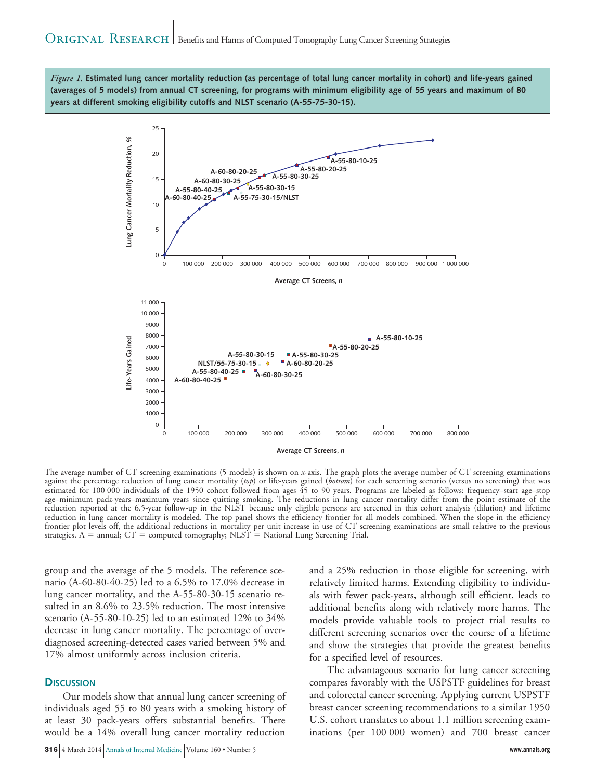*Figure 1.* **Estimated lung cancer mortality reduction (as percentage of total lung cancer mortality in cohort) and life-years gained (averages of 5 models) from annual CT screening, for programs with minimum eligibility age of 55 years and maximum of 80 years at different smoking eligibility cutoffs and NLST scenario (A-55-75-30-15).**



The average number of CT screening examinations (5 models) is shown on *x*-axis. The graph plots the average number of CT screening examinations against the percentage reduction of lung cancer mortality (*top*) or life-years gained (*bottom*) for each screening scenario (versus no screening) that was estimated for 100 000 individuals of the 1950 cohort followed from ages 45 to 90 years. Programs are labeled as follows: frequency–start age–stop age–minimum pack-years–maximum years since quitting smoking. The reductions in lung cancer mortality differ from the point estimate of the reduction reported at the 6.5-year follow-up in the NLST because only eligible persons are screened in this cohort analysis (dilution) and lifetime reduction in lung cancer mortality is modeled. The top panel shows the efficiency frontier for all models combined. When the slope in the efficiency frontier plot levels off, the additional reductions in mortality per unit increase in use of CT screening examinations are small relative to the previous strategies.  $A =$  annual;  $CT =$  computed tomography;  $NIST =$  National Lung Screening Trial.

group and the average of the 5 models. The reference scenario (A-60-80-40-25) led to a 6.5% to 17.0% decrease in lung cancer mortality, and the A-55-80-30-15 scenario resulted in an 8.6% to 23.5% reduction. The most intensive scenario (A-55-80-10-25) led to an estimated 12% to 34% decrease in lung cancer mortality. The percentage of overdiagnosed screening-detected cases varied between 5% and 17% almost uniformly across inclusion criteria.

#### **DISCUSSION**

Our models show that annual lung cancer screening of individuals aged 55 to 80 years with a smoking history of at least 30 pack-years offers substantial benefits. There would be a 14% overall lung cancer mortality reduction

**316** 4 March 2014 Annals of Internal Medicine Volume 160 • Number 5 **www.annals.org**

and a 25% reduction in those eligible for screening, with relatively limited harms. Extending eligibility to individuals with fewer pack-years, although still efficient, leads to additional benefits along with relatively more harms. The models provide valuable tools to project trial results to different screening scenarios over the course of a lifetime and show the strategies that provide the greatest benefits for a specified level of resources.

The advantageous scenario for lung cancer screening compares favorably with the USPSTF guidelines for breast and colorectal cancer screening. Applying current USPSTF breast cancer screening recommendations to a similar 1950 U.S. cohort translates to about 1.1 million screening examinations (per 100 000 women) and 700 breast cancer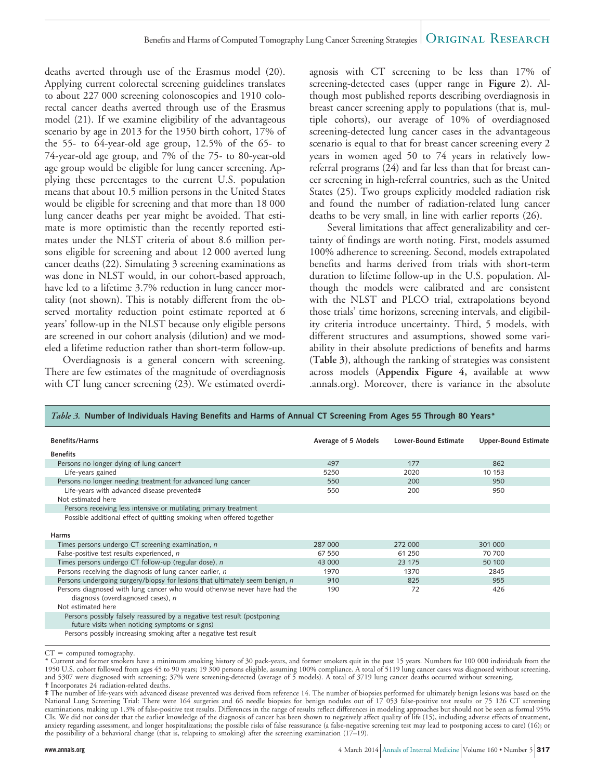deaths averted through use of the Erasmus model (20). Applying current colorectal screening guidelines translates to about 227 000 screening colonoscopies and 1910 colorectal cancer deaths averted through use of the Erasmus model (21). If we examine eligibility of the advantageous scenario by age in 2013 for the 1950 birth cohort, 17% of the 55- to 64-year-old age group, 12.5% of the 65- to 74-year-old age group, and 7% of the 75- to 80-year-old age group would be eligible for lung cancer screening. Applying these percentages to the current U.S. population means that about 10.5 million persons in the United States would be eligible for screening and that more than 18 000 lung cancer deaths per year might be avoided. That estimate is more optimistic than the recently reported estimates under the NLST criteria of about 8.6 million persons eligible for screening and about 12 000 averted lung cancer deaths (22). Simulating 3 screening examinations as was done in NLST would, in our cohort-based approach, have led to a lifetime 3.7% reduction in lung cancer mortality (not shown). This is notably different from the observed mortality reduction point estimate reported at 6 years' follow-up in the NLST because only eligible persons are screened in our cohort analysis (dilution) and we modeled a lifetime reduction rather than short-term follow-up.

Overdiagnosis is a general concern with screening. There are few estimates of the magnitude of overdiagnosis with CT lung cancer screening (23). We estimated overdiagnosis with CT screening to be less than 17% of screening-detected cases (upper range in **Figure 2**). Although most published reports describing overdiagnosis in breast cancer screening apply to populations (that is, multiple cohorts), our average of 10% of overdiagnosed screening-detected lung cancer cases in the advantageous scenario is equal to that for breast cancer screening every 2 years in women aged 50 to 74 years in relatively lowreferral programs (24) and far less than that for breast cancer screening in high-referral countries, such as the United States (25). Two groups explicitly modeled radiation risk and found the number of radiation-related lung cancer deaths to be very small, in line with earlier reports (26).

Several limitations that affect generalizability and certainty of findings are worth noting. First, models assumed 100% adherence to screening. Second, models extrapolated benefits and harms derived from trials with short-term duration to lifetime follow-up in the U.S. population. Although the models were calibrated and are consistent with the NLST and PLCO trial, extrapolations beyond those trials' time horizons, screening intervals, and eligibility criteria introduce uncertainty. Third, 5 models, with different structures and assumptions, showed some variability in their absolute predictions of benefits and harms (**Table 3**), although the ranking of strategies was consistent across models (**Appendix Figure 4,** available at [www](http://www.annals.org) [.annals.org\)](http://www.annals.org). Moreover, there is variance in the absolute

| <i>There J.</i> Thermotic of multiplears having benefits and hannis of Annual Cristicening Hom Ages JJ Hilbugh ou reals    |                     |                             |                             |
|----------------------------------------------------------------------------------------------------------------------------|---------------------|-----------------------------|-----------------------------|
| <b>Benefits/Harms</b>                                                                                                      | Average of 5 Models | <b>Lower-Bound Estimate</b> | <b>Upper-Bound Estimate</b> |
| <b>Benefits</b>                                                                                                            |                     |                             |                             |
| Persons no longer dying of lung cancert                                                                                    | 497                 | 177                         | 862                         |
| Life-years gained                                                                                                          | 5250                | 2020                        | 10 153                      |
| Persons no longer needing treatment for advanced lung cancer                                                               | 550                 | 200                         | 950                         |
| Life-years with advanced disease prevented‡                                                                                | 550                 | 200                         | 950                         |
| Not estimated here                                                                                                         |                     |                             |                             |
| Persons receiving less intensive or mutilating primary treatment                                                           |                     |                             |                             |
| Possible additional effect of quitting smoking when offered together                                                       |                     |                             |                             |
|                                                                                                                            |                     |                             |                             |
| <b>Harms</b>                                                                                                               |                     |                             |                             |
| Times persons undergo CT screening examination, n                                                                          | 287 000             | 272 000                     | 301 000                     |
| False-positive test results experienced, n                                                                                 | 67 550              | 61 250                      | 70 700                      |
| Times persons undergo CT follow-up (regular dose), n                                                                       | 43 000              | 23 175                      | 50 100                      |
| Persons receiving the diagnosis of lung cancer earlier, n                                                                  | 1970                | 1370                        | 2845                        |
| Persons undergoing surgery/biopsy for lesions that ultimately seem benign, n                                               | 910                 | 825                         | 955                         |
| Persons diagnosed with lung cancer who would otherwise never have had the<br>diagnosis (overdiagnosed cases), n            | 190                 | 72                          | 426                         |
| Not estimated here                                                                                                         |                     |                             |                             |
| Persons possibly falsely reassured by a negative test result (postponing<br>future visits when noticing symptoms or signs) |                     |                             |                             |
| Persons possibly increasing smoking after a negative test result                                                           |                     |                             |                             |

*Table 3.* **Number of Individuals Having Benefits and Harms of Annual CT Screening From Ages 55 Through 80 Years\***

 $CT =$  computed tomography.

\* Current and former smokers have a minimum smoking history of 30 pack-years, and former smokers quit in the past 15 years. Numbers for 100 000 individuals from the 1950 U.S. cohort followed from ages 45 to 90 years; 19 300 persons eligible, assuming 100% compliance. A total of 5119 lung cancer cases was diagnosed without screening, and 5307 were diagnosed with screening; 37% were screening-detected (average of 5 models). A total of 3719 lung cancer deaths occurred without screening. † Incorporates 24 radiation-related deaths.

<sup>‡</sup> The number of life-years with advanced disease prevented was derived from reference 14. The number of biopsies performed for ultimately benign lesions was based on the National Lung Screening Trial: There were 164 surgeries and 66 needle biopsies for benign nodules out of 17 053 false-positive test results or 75 126 CT screening examinations, making up 1.3% of false-positive test results. Differences in the range of results reflect differences in modeling approaches but should not be seen as formal 95% CIs. We did not consider that the earlier knowledge of the diagnosis of cancer has been shown to negatively affect quality of life (15), including adverse effects of treatment, anxiety regarding assessment, and longer hospitalizations; the possible risks of false reassurance (a false-negative screening test may lead to postponing access to care) (16); or the possibility of a behavioral change (that is, relapsing to smoking) after the screening examination (17–19).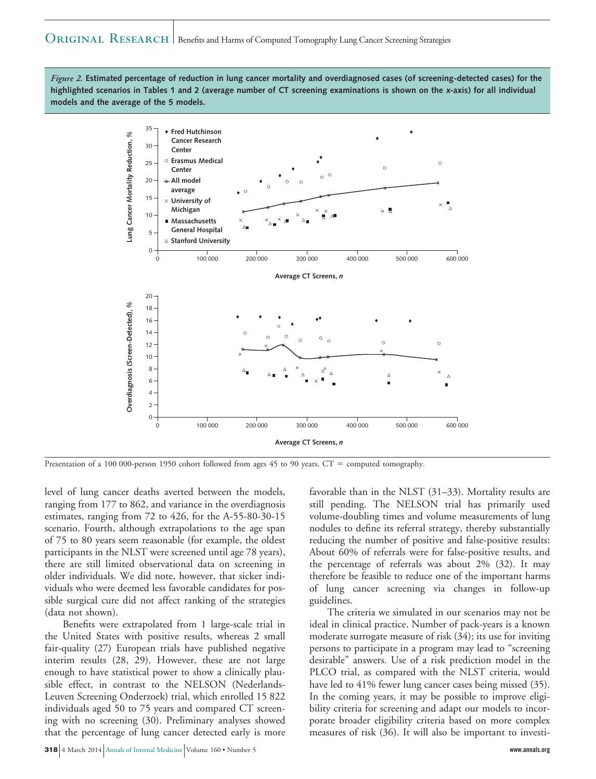*Figure 2.* **Estimated percentage of reduction in lung cancer mortality and overdiagnosed cases (of screening-detected cases) for the highlighted scenarios in Tables 1 and 2 (average number of CT screening examinations is shown on the <sup>x</sup>-axis) for all individual models and the average of the 5 models.**



Presentation of a 100 000-person 1950 cohort followed from ages 45 to 90 years. CT = computed tomography.

level of lung cancer deaths averted between the models, ranging from 177 to 862, and variance in the overdiagnosis estimates, ranging from 72 to 426, for the A-55-80-30-15 scenario. Fourth, although extrapolations to the age span of 75 to 80 years seem reasonable (for example, the oldest participants in the NLST were screened until age 78 years), there are still limited observational data on screening in older individuals. We did note, however, that sicker individuals who were deemed less favorable candidates for possible surgical cure did not affect ranking of the strategies (data not shown).

Benefits were extrapolated from 1 large-scale trial in the United States with positive results, whereas 2 small fair-quality (27) European trials have published negative interim results (28, 29). However, these are not large enough to have statistical power to show a clinically plausible effect, in contrast to the NELSON (Nederlands-Leuven Screening Onderzoek) trial, which enrolled 15 822 individuals aged 50 to 75 years and compared CT screening with no screening (30). Preliminary analyses showed that the percentage of lung cancer detected early is more

**318** 4 March 2014 Annals of Internal Medicine Volume 160 • Number 5 **www.annals.org**

favorable than in the NLST (31–33). Mortality results are still pending. The NELSON trial has primarily used volume-doubling times and volume measurements of lung nodules to define its referral strategy, thereby substantially reducing the number of positive and false-positive results: About 60% of referrals were for false-positive results, and the percentage of referrals was about 2% (32). It may therefore be feasible to reduce one of the important harms of lung cancer screening via changes in follow-up guidelines.

The criteria we simulated in our scenarios may not be ideal in clinical practice. Number of pack-years is a known moderate surrogate measure of risk (34); its use for inviting persons to participate in a program may lead to "screening desirable" answers. Use of a risk prediction model in the PLCO trial, as compared with the NLST criteria, would have led to 41% fewer lung cancer cases being missed (35). In the coming years, it may be possible to improve eligibility criteria for screening and adapt our models to incorporate broader eligibility criteria based on more complex measures of risk (36). It will also be important to investi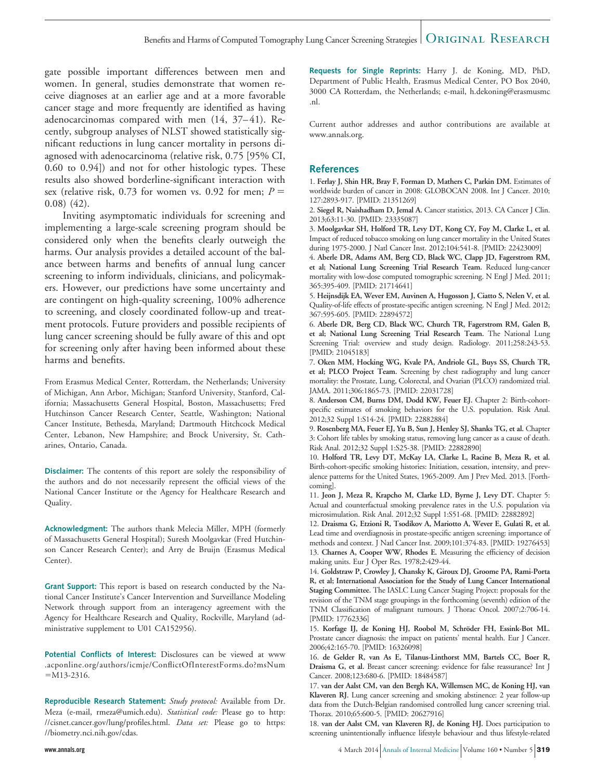gate possible important differences between men and women. In general, studies demonstrate that women receive diagnoses at an earlier age and at a more favorable cancer stage and more frequently are identified as having adenocarcinomas compared with men (14, 37–41). Recently, subgroup analyses of NLST showed statistically significant reductions in lung cancer mortality in persons diagnosed with adenocarcinoma (relative risk, 0.75 [95% CI, 0.60 to 0.94]) and not for other histologic types. These results also showed borderline-significant interaction with sex (relative risk,  $0.73$  for women vs.  $0.92$  for men;  $P =$ 0.08) (42).

Inviting asymptomatic individuals for screening and implementing a large-scale screening program should be considered only when the benefits clearly outweigh the harms. Our analysis provides a detailed account of the balance between harms and benefits of annual lung cancer screening to inform individuals, clinicians, and policymakers. However, our predictions have some uncertainty and are contingent on high-quality screening, 100% adherence to screening, and closely coordinated follow-up and treatment protocols. Future providers and possible recipients of lung cancer screening should be fully aware of this and opt for screening only after having been informed about these harms and benefits.

From Erasmus Medical Center, Rotterdam, the Netherlands; University of Michigan, Ann Arbor, Michigan; Stanford University, Stanford, California; Massachusetts General Hospital, Boston, Massachusetts; Fred Hutchinson Cancer Research Center, Seattle, Washington; National Cancer Institute, Bethesda, Maryland; Dartmouth Hitchcock Medical Center, Lebanon, New Hampshire; and Brock University, St. Catharines, Ontario, Canada.

**Disclaimer:** The contents of this report are solely the responsibility of the authors and do not necessarily represent the official views of the National Cancer Institute or the Agency for Healthcare Research and Quality.

**Acknowledgment:** The authors thank Melecia Miller, MPH (formerly of Massachusetts General Hospital); Suresh Moolgavkar (Fred Hutchinson Cancer Research Center); and Arry de Bruijn (Erasmus Medical Center).

**Grant Support:** This report is based on research conducted by the National Cancer Institute's Cancer Intervention and Surveillance Modeling Network through support from an interagency agreement with the Agency for Healthcare Research and Quality, Rockville, Maryland (administrative supplement to U01 CA152956).

**Potential Conflicts of Interest:** Disclosures can be viewed at [www](http://www.acponline.org/authors/icmje/ConflictOfInterestForms.do?msNum=M13-2316) [.acponline.org/authors/icmje/ConflictOfInterestForms.do?msNum](http://www.acponline.org/authors/icmje/ConflictOfInterestForms.do?msNum=M13-2316)  $=M13-2316$ .

**Reproducible Research Statement:** *Study protocol:* Available from Dr. Meza (e-mail, rmeza@umich.edu). *Statistical code:* Please go to http: //cisnet.cancer.gov/lung/profiles.html. *Data set:* Please go to https: //biometry.nci.nih.gov/cdas.

**Requests for Single Reprints:** Harry J. de Koning, MD, PhD, Department of Public Health, Erasmus Medical Center, PO Box 2040, 3000 CA Rotterdam, the Netherlands; e-mail, [h.dekoning@erasmusmc](mailto:h.dekoning@erasmusmc.nl) [.nl.](mailto:h.dekoning@erasmusmc.nl)

Current author addresses and author contributions are available at [www.annals.org.](http://www.annals.org)

#### **References**

1. **Ferlay J, Shin HR, Bray F, Forman D, Mathers C, Parkin DM.** Estimates of worldwide burden of cancer in 2008: GLOBOCAN 2008. Int J Cancer. 2010; 127:2893-917. [PMID: 21351269]

2. **Siegel R, Naishadham D, Jemal A.** Cancer statistics, 2013. CA Cancer J Clin. 2013;63:11-30. [PMID: 23335087]

3. **Moolgavkar SH, Holford TR, Levy DT, Kong CY, Foy M, Clarke L, et al.** Impact of reduced tobacco smoking on lung cancer mortality in the United States during 1975-2000. J Natl Cancer Inst. 2012;104:541-8. [PMID: 22423009]

4. **Aberle DR, Adams AM, Berg CD, Black WC, Clapp JD, Fagerstrom RM, et al; National Lung Screening Trial Research Team.** Reduced lung-cancer mortality with low-dose computed tomographic screening. N Engl J Med. 2011; 365:395-409. [PMID: 21714641]

5. **Heijnsdijk EA, Wever EM, Auvinen A, Hugosson J, Ciatto S, Nelen V, et al.** Quality-of-life effects of prostate-specific antigen screening. N Engl J Med. 2012; 367:595-605. [PMID: 22894572]

6. **Aberle DR, Berg CD, Black WC, Church TR, Fagerstrom RM, Galen B, et al; National Lung Screening Trial Research Team.** The National Lung Screening Trial: overview and study design. Radiology. 2011;258:243-53. [PMID: 21045183]

7. **Oken MM, Hocking WG, Kvale PA, Andriole GL, Buys SS, Church TR, et al; PLCO Project Team.** Screening by chest radiography and lung cancer mortality: the Prostate, Lung, Colorectal, and Ovarian (PLCO) randomized trial. JAMA. 2011;306:1865-73. [PMID: 22031728]

8. **Anderson CM, Burns DM, Dodd KW, Feuer EJ.** Chapter 2: Birth-cohortspecific estimates of smoking behaviors for the U.S. population. Risk Anal. 2012;32 Suppl 1:S14-24. [PMID: 22882884]

9. **Rosenberg MA, Feuer EJ, Yu B, Sun J, Henley SJ, Shanks TG, et al.** Chapter 3: Cohort life tables by smoking status, removing lung cancer as a cause of death. Risk Anal. 2012;32 Suppl 1:S25-38. [PMID: 22882890]

10. **Holford TR, Levy DT, McKay LA, Clarke L, Racine B, Meza R, et al.** Birth-cohort-specific smoking histories: Initiation, cessation, intensity, and prevalence patterns for the United States, 1965-2009. Am J Prev Med. 2013. [Forthcoming].

11. **Jeon J, Meza R, Krapcho M, Clarke LD, Byrne J, Levy DT.** Chapter 5: Actual and counterfactual smoking prevalence rates in the U.S. population via microsimulation. Risk Anal. 2012;32 Suppl 1:S51-68. [PMID: 22882892]

12. **Draisma G, Etzioni R, Tsodikov A, Mariotto A, Wever E, Gulati R, et al.** Lead time and overdiagnosis in prostate-specific antigen screening: importance of methods and context. J Natl Cancer Inst. 2009;101:374-83. [PMID: 19276453] 13. **Charnes A, Cooper WW, Rhodes E.** Measuring the efficiency of decision making units. Eur J Oper Res. 1978;2:429-44.

14. **Goldstraw P, Crowley J, Chansky K, Giroux DJ, Groome PA, Rami-Porta R, et al; International Association for the Study of Lung Cancer International Staging Committee.** The IASLC Lung Cancer Staging Project: proposals for the revision of the TNM stage groupings in the forthcoming (seventh) edition of the TNM Classification of malignant tumours. J Thorac Oncol. 2007;2:706-14. [PMID: 17762336]

15. Korfage IJ, de Koning HJ, Roobol M, Schröder FH, Essink-Bot ML. Prostate cancer diagnosis: the impact on patients' mental health. Eur J Cancer. 2006;42:165-70. [PMID: 16326098]

16. **de Gelder R, van As E, Tilanus-Linthorst MM, Bartels CC, Boer R, Draisma G, et al.** Breast cancer screening: evidence for false reassurance? Int J Cancer. 2008;123:680-6. [PMID: 18484587]

17. **van der Aalst CM, van den Bergh KA, Willemsen MC, de Koning HJ, van Klaveren RJ.** Lung cancer screening and smoking abstinence: 2 year follow-up data from the Dutch-Belgian randomised controlled lung cancer screening trial. Thorax. 2010;65:600-5. [PMID: 20627916]

18. **van der Aalst CM, van Klaveren RJ, de Koning HJ.** Does participation to screening unintentionally influence lifestyle behaviour and thus lifestyle-related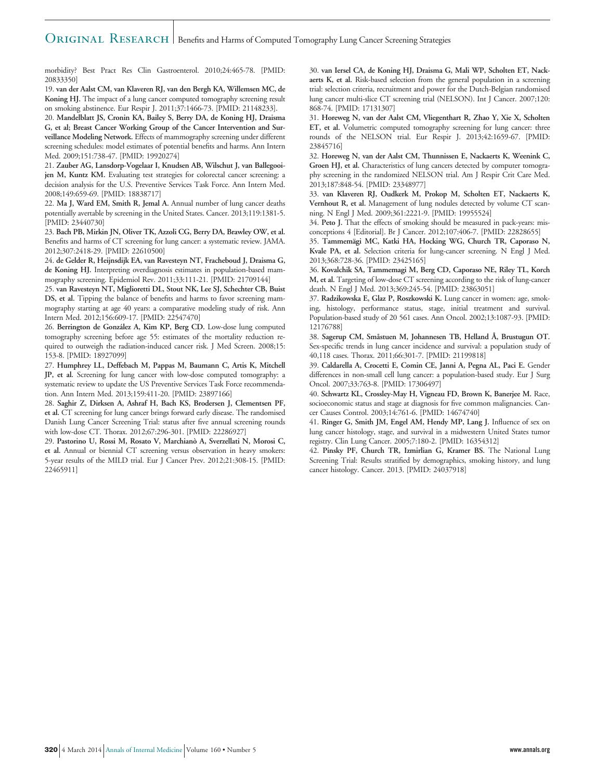morbidity? Best Pract Res Clin Gastroenterol. 2010;24:465-78. [PMID: 20833350]

19. **van der Aalst CM, van Klaveren RJ, van den Bergh KA, Willemsen MC, de Koning HJ.** The impact of a lung cancer computed tomography screening result on smoking abstinence. Eur Respir J. 2011;37:1466-73. [PMID: 21148233].

20. **Mandelblatt JS, Cronin KA, Bailey S, Berry DA, de Koning HJ, Draisma G, et al; Breast Cancer Working Group of the Cancer Intervention and Surveillance Modeling Network.** Effects of mammography screening under different screening schedules: model estimates of potential benefits and harms. Ann Intern Med. 2009;151:738-47. [PMID: 19920274]

21. **Zauber AG, Lansdorp-Vogelaar I, Knudsen AB, Wilschut J, van Ballegooijen M, Kuntz KM.** Evaluating test strategies for colorectal cancer screening: a decision analysis for the U.S. Preventive Services Task Force. Ann Intern Med. 2008;149:659-69. [PMID: 18838717]

22. **Ma J, Ward EM, Smith R, Jemal A.** Annual number of lung cancer deaths potentially avertable by screening in the United States. Cancer. 2013;119:1381-5. [PMID: 23440730]

23. **Bach PB, Mirkin JN, Oliver TK, Azzoli CG, Berry DA, Brawley OW, et al.** Benefits and harms of CT screening for lung cancer: a systematic review. JAMA. 2012;307:2418-29. [PMID: 22610500]

24. **de Gelder R, Heijnsdijk EA, van Ravesteyn NT, Fracheboud J, Draisma G, de Koning HJ.** Interpreting overdiagnosis estimates in population-based mammography screening. Epidemiol Rev. 2011;33:111-21. [PMID: 21709144]

25. **van Ravesteyn NT, Miglioretti DL, Stout NK, Lee SJ, Schechter CB, Buist DS, et al.** Tipping the balance of benefits and harms to favor screening mammography starting at age 40 years: a comparative modeling study of risk. Ann Intern Med. 2012;156:609-17. [PMID: 22547470]

26. Berrington de González A, Kim KP, Berg CD. Low-dose lung computed tomography screening before age 55: estimates of the mortality reduction required to outweigh the radiation-induced cancer risk. J Med Screen. 2008;15: 153-8. [PMID: 18927099]

27. **Humphrey LL, Deffebach M, Pappas M, Baumann C, Artis K, Mitchell JP, et al.** Screening for lung cancer with low-dose computed tomography: a systematic review to update the US Preventive Services Task Force recommendation. Ann Intern Med. 2013;159:411-20. [PMID: 23897166]

28. **Saghir Z, Dirksen A, Ashraf H, Bach KS, Brodersen J, Clementsen PF, et al.** CT screening for lung cancer brings forward early disease. The randomised Danish Lung Cancer Screening Trial: status after five annual screening rounds with low-dose CT. Thorax. 2012;67:296-301. [PMID: 22286927]

29. **Pastorino U, Rossi M, Rosato V, Marchiano` A, Sverzellati N, Morosi C, et al.** Annual or biennial CT screening versus observation in heavy smokers: 5-year results of the MILD trial. Eur J Cancer Prev. 2012;21:308-15. [PMID: 22465911]

30. **van Iersel CA, de Koning HJ, Draisma G, Mali WP, Scholten ET, Nackaerts K, et al.** Risk-based selection from the general population in a screening trial: selection criteria, recruitment and power for the Dutch-Belgian randomised lung cancer multi-slice CT screening trial (NELSON). Int J Cancer. 2007;120: 868-74. [PMID: 17131307]

31. **Horeweg N, van der Aalst CM, Vliegenthart R, Zhao Y, Xie X, Scholten ET, et al.** Volumetric computed tomography screening for lung cancer: three rounds of the NELSON trial. Eur Respir J. 2013;42:1659-67. [PMID: 23845716]

32. **Horeweg N, van der Aalst CM, Thunnissen E, Nackaerts K, Weenink C, Groen HJ, et al.** Characteristics of lung cancers detected by computer tomography screening in the randomized NELSON trial. Am J Respir Crit Care Med. 2013;187:848-54. [PMID: 23348977]

33. **van Klaveren RJ, Oudkerk M, Prokop M, Scholten ET, Nackaerts K, Vernhout R, et al.** Management of lung nodules detected by volume CT scanning. N Engl J Med. 2009;361:2221-9. [PMID: 19955524]

34. **Peto J.** That the effects of smoking should be measured in pack-years: misconceptions 4 [Editorial]. Br J Cancer. 2012;107:406-7. [PMID: 22828655]

35. **Tammema¨gi MC, Katki HA, Hocking WG, Church TR, Caporaso N, Kvale PA, et al.** Selection criteria for lung-cancer screening. N Engl J Med. 2013;368:728-36. [PMID: 23425165]

36. **Kovalchik SA, Tammemagi M, Berg CD, Caporaso NE, Riley TL, Korch M, et al.** Targeting of low-dose CT screening according to the risk of lung-cancer death. N Engl J Med. 2013;369:245-54. [PMID: 23863051]

37. **Radzikowska E, Glaz P, Roszkowski K.** Lung cancer in women: age, smoking, histology, performance status, stage, initial treatment and survival. Population-based study of 20 561 cases. Ann Oncol. 2002;13:1087-93. [PMID: 12176788]

38. **Sagerup CM, Småstuen M, Johannesen TB, Helland Å, Brustugun OT.** Sex-specific trends in lung cancer incidence and survival: a population study of 40,118 cases. Thorax. 2011;66:301-7. [PMID: 21199818]

39. **Caldarella A, Crocetti E, Comin CE, Janni A, Pegna AL, Paci E.** Gender differences in non-small cell lung cancer: a population-based study. Eur J Surg Oncol. 2007;33:763-8. [PMID: 17306497]

40. **Schwartz KL, Crossley-May H, Vigneau FD, Brown K, Banerjee M.** Race, socioeconomic status and stage at diagnosis for five common malignancies. Cancer Causes Control. 2003;14:761-6. [PMID: 14674740]

41. **Ringer G, Smith JM, Engel AM, Hendy MP, Lang J.** Influence of sex on lung cancer histology, stage, and survival in a midwestern United States tumor registry. Clin Lung Cancer. 2005;7:180-2. [PMID: 16354312]

42. **Pinsky PF, Church TR, Izmirlian G, Kramer BS.** The National Lung Screening Trial: Results stratified by demographics, smoking history, and lung cancer histology. Cancer. 2013. [PMID: 24037918]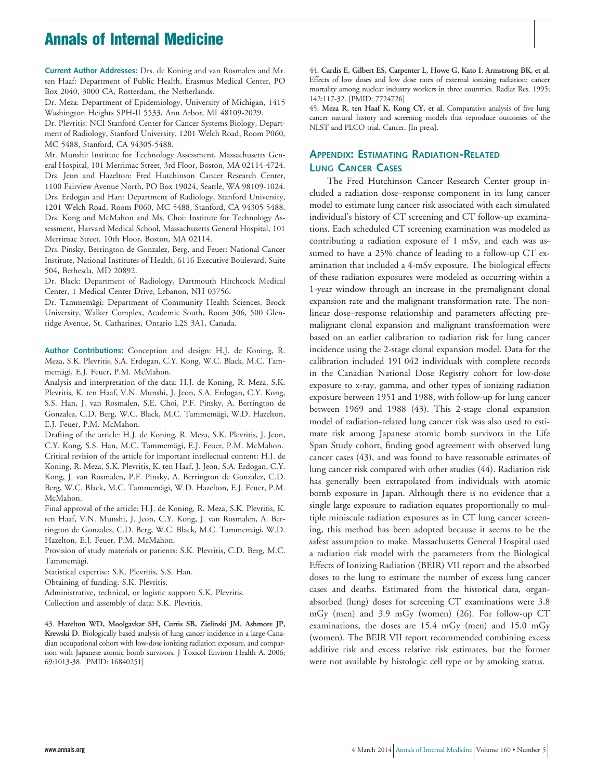# **Annals of Internal Medicine**

**Current Author Addresses:** Drs. de Koning and van Rosmalen and Mr. ten Haaf: Department of Public Health, Erasmus Medical Center, PO Box 2040, 3000 CA, Rotterdam, the Netherlands.

Dr. Meza: Department of Epidemiology, University of Michigan, 1415 Washington Heights SPH-II 5533, Ann Arbor, MI 48109-2029.

Dr. Plevritis: NCI Stanford Center for Cancer Systems Biology, Department of Radiology, Stanford University, 1201 Welch Road, Room P060, MC 5488, Stanford, CA 94305-5488.

Mr. Munshi: Institute for Technology Assessment, Massachusetts General Hospital, 101 Merrimac Street, 3rd Floor, Boston, MA 02114-4724. Drs. Jeon and Hazelton: Fred Hutchinson Cancer Research Center, 1100 Fairview Avenue North, PO Box 19024, Seattle, WA 98109-1024. Drs. Erdogan and Han: Department of Radiology, Stanford University, 1201 Welch Road, Room P060, MC 5488, Stanford, CA 94305-5488. Drs. Kong and McMahon and Ms. Choi: Institute for Technology Assessment, Harvard Medical School, Massachusetts General Hospital, 101 Merrimac Street, 10th Floor, Boston, MA 02114.

Drs. Pinsky, Berrington de Gonzalez, Berg, and Feuer: National Cancer Institute, National Institutes of Health, 6116 Executive Boulevard, Suite 504, Bethesda, MD 20892.

Dr. Black: Department of Radiology, Dartmouth Hitchcock Medical Center, 1 Medical Center Drive, Lebanon, NH 03756.

Dr. Tammemägi: Department of Community Health Sciences, Brock University, Walker Complex, Academic South, Room 306, 500 Glenridge Avenue, St. Catharines, Ontario L2S 3A1, Canada.

**Author Contributions:** Conception and design: H.J. de Koning, R. Meza, S.K. Plevritis, S.A. Erdogan, C.Y. Kong, W.C. Black, M.C. Tammemägi, E.J. Feuer, P.M. McMahon.

Analysis and interpretation of the data: H.J. de Koning, R. Meza, S.K. Plevritis, K. ten Haaf, V.N. Munshi, J. Jeon, S.A. Erdogan, C.Y. Kong, S.S. Han, J. van Rosmalen, S.E. Choi, P.F. Pinsky, A. Berrington de Gonzalez, C.D. Berg, W.C. Black, M.C. Tammemägi, W.D. Hazelton, E.J. Feuer, P.M. McMahon.

Drafting of the article: H.J. de Koning, R. Meza, S.K. Plevritis, J. Jeon, C.Y. Kong, S.S. Han, M.C. Tammemägi, E.J. Feuer, P.M. McMahon. Critical revision of the article for important intellectual content: H.J. de Koning, R. Meza, S.K. Plevritis, K. ten Haaf, J. Jeon, S.A. Erdogan, C.Y. Kong, J. van Rosmalen, P.F. Pinsky, A. Berrington de Gonzalez, C.D. Berg, W.C. Black, M.C. Tammemägi, W.D. Hazelton, E.J. Feuer, P.M. McMahon.

Final approval of the article: H.J. de Koning, R. Meza, S.K. Plevritis, K. ten Haaf, V.N. Munshi, J. Jeon, C.Y. Kong, J. van Rosmalen, A. Berrington de Gonzalez, C.D. Berg, W.C. Black, M.C. Tammemägi, W.D. Hazelton, E.J. Feuer, P.M. McMahon.

Provision of study materials or patients: S.K. Plevritis, C.D. Berg, M.C. Tammemägi.

Statistical expertise: S.K. Plevritis, S.S. Han.

Obtaining of funding: S.K. Plevritis.

Administrative, technical, or logistic support: S.K. Plevritis.

Collection and assembly of data: S.K. Plevritis.

43. **Hazelton WD, Moolgavkar SH, Curtis SB, Zielinski JM, Ashmore JP, Krewski D.** Biologically based analysis of lung cancer incidence in a large Canadian occupational cohort with low-dose ionizing radiation exposure, and comparison with Japanese atomic bomb survivors. J Toxicol Environ Health A. 2006; 69:1013-38. [PMID: 16840251]

44. **Cardis E, Gilbert ES, Carpenter L, Howe G, Kato I, Armstrong BK, et al.** Effects of low doses and low dose rates of external ionizing radiation: cancer mortality among nuclear industry workers in three countries. Radiat Res. 1995; 142:117-32. [PMID: 7724726]

45. **Meza R, ten Haaf K, Kong CY, et al.** Comparative analysis of five lung cancer natural history and screening models that reproduce outcomes of the NLST and PLCO trial. Cancer. [In press].

## **APPENDIX: ESTIMATING RADIATION-RELATED LUNG CANCER CASES**

The Fred Hutchinson Cancer Research Center group included a radiation dose–response component in its lung cancer model to estimate lung cancer risk associated with each simulated individual's history of CT screening and CT follow-up examinations. Each scheduled CT screening examination was modeled as contributing a radiation exposure of 1 mSv, and each was assumed to have a 25% chance of leading to a follow-up CT examination that included a 4-mSv exposure. The biological effects of these radiation exposures were modeled as occurring within a 1-year window through an increase in the premalignant clonal expansion rate and the malignant transformation rate. The nonlinear dose–response relationship and parameters affecting premalignant clonal expansion and malignant transformation were based on an earlier calibration to radiation risk for lung cancer incidence using the 2-stage clonal expansion model. Data for the calibration included 191 042 individuals with complete records in the Canadian National Dose Registry cohort for low-dose exposure to x-ray, gamma, and other types of ionizing radiation exposure between 1951 and 1988, with follow-up for lung cancer between 1969 and 1988 (43). This 2-stage clonal expansion model of radiation-related lung cancer risk was also used to estimate risk among Japanese atomic bomb survivors in the Life Span Study cohort, finding good agreement with observed lung cancer cases (43), and was found to have reasonable estimates of lung cancer risk compared with other studies (44). Radiation risk has generally been extrapolated from individuals with atomic bomb exposure in Japan. Although there is no evidence that a single large exposure to radiation equates proportionally to multiple miniscule radiation exposures as in CT lung cancer screening, this method has been adopted because it seems to be the safest assumption to make. Massachusetts General Hospital used a radiation risk model with the parameters from the Biological Effects of Ionizing Radiation (BEIR) VII report and the absorbed doses to the lung to estimate the number of excess lung cancer cases and deaths. Estimated from the historical data, organabsorbed (lung) doses for screening CT examinations were 3.8 mGy (men) and 3.9 mGy (women) (26). For follow-up CT examinations, the doses are 15.4 mGy (men) and 15.0 mGy (women). The BEIR VII report recommended combining excess additive risk and excess relative risk estimates, but the former were not available by histologic cell type or by smoking status.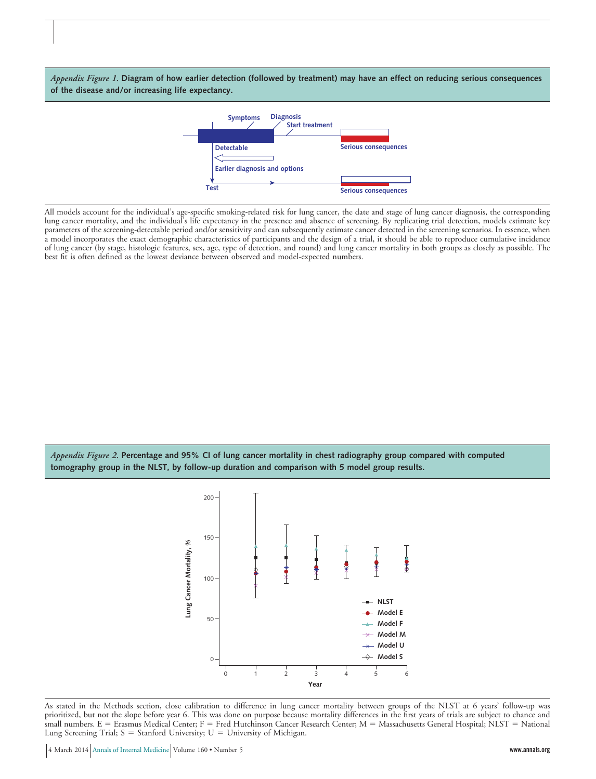*Appendix Figure 1.* **Diagram of how earlier detection (followed by treatment) may have an effect on reducing serious consequences of the disease and/or increasing life expectancy.**



All models account for the individual's age-specific smoking-related risk for lung cancer, the date and stage of lung cancer diagnosis, the corresponding lung cancer mortality, and the individual's life expectancy in the presence and absence of screening. By replicating trial detection, models estimate key parameters of the screening-detectable period and/or sensitivity and can subsequently estimate cancer detected in the screening scenarios. In essence, when a model incorporates the exact demographic characteristics of participants and the design of a trial, it should be able to reproduce cumulative incidence of lung cancer (by stage, histologic features, sex, age, type of detection, and round) and lung cancer mortality in both groups as closely as possible. The best fit is often defined as the lowest deviance between observed and model-expected numbers.

*Appendix Figure 2.* **Percentage and 95% CI of lung cancer mortality in chest radiography group compared with computed tomography group in the NLST, by follow-up duration and comparison with 5 model group results.**



As stated in the Methods section, close calibration to difference in lung cancer mortality between groups of the NLST at 6 years' follow-up was prioritized, but not the slope before year 6. This was done on purpose because mortality differences in the first years of trials are subject to chance and small numbers. E = Erasmus Medical Center; F = Fred Hutchinson Cancer Research Center; M = Massachusetts General Hospital; NLST = National Lung Screening Trial;  $S =$  Stanford University;  $U =$  University of Michigan.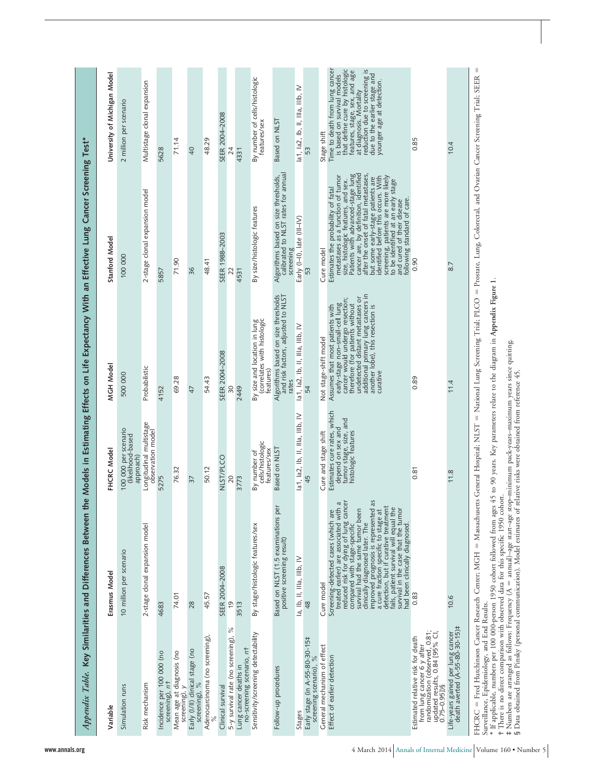| the Models in Estimating Effects on Life Expectancy With an Effective Lung Cancer Screening Test* | University of Michigan Model<br>Stanford Model<br>MGH Model<br>FHCRC Model | 2 million per scenario<br>100 000<br>500 000<br>100 000 per scenario<br>(likelihood-based<br>approach) | Multistage clonal expansion<br>2-stage clonal expansion model<br>Probabilistic<br>Longitudinal multistage<br>observation model | 5628<br>5857<br>4152<br>5275                | 71.14<br>71.90<br>69.28<br>76.32           | 40<br>36<br>47<br>$\overline{37}$                | 48.29<br>48.41<br>54.43<br>50.12      | SEER 2004-2008<br>SEER 1988-2003<br>SEER 2004-2008<br><b>NLST/PLCO</b> | 24<br>22<br>SO<br>20                               | 4331<br>4531<br>2449<br>3773                       | By number of cells/histologic<br>features/sex<br>By size/histologic features<br>By size and location in lung<br>(correlates with histologic<br>features)<br>cells/histologic<br>features/sex<br>By number of | Based on NLST<br>Algorithms based on size thresholds,<br>calibrated to NLST rates for annual<br>screening<br>Algorithms based on size thresholds<br>and risk factors, adjusted to NLST<br>rates<br>Based on NLST<br>per | la1, la2, lb, ll, llla, lllb, IV<br>Early (I-II), late (III-IV)<br>la1, la2, lb, ll, llla, lllb, IV<br>la1, la2, lb, ll, IIIa, IIIb, IV | 53<br>53<br>54<br>45                                     | Stage shift<br>Cure model<br>Not stage-shift model<br>Cure and stage shift | that define cure by histologic<br>Time to death from lung cancer<br>reduction due to screening is<br>features, stage, sex, and age<br>is based on survival models<br>due to the earlier stage and<br>younger age at detection.<br>at diagnosis. Mortality<br>cancer are, by definition, identified<br>size, histologic features, and sex.<br>Patients with advanced-stage lung<br>after the onset of fatal metastases,<br>metastases as a function of tumor<br>identified before this occurs. With<br>screening, patients are more likely<br>to be identified at an early stage<br>but some early-stage patients are<br>Estimates the probability of fatal<br>following standard of care.<br>and cured of their disease<br>additional primary lung cancers in<br>another lobe), this resection is<br>undetected distant metastases or<br>cancer would undergo resection;<br>early-stage non-small-cell lung<br>therefore (for patients without<br>Assumes that most patients with<br>curative<br>Estimates cure rates, which<br>tumor stage, size, and<br>histologic features<br>depend on sex and | 0.85<br>0.90<br>0.89<br>0.81                                                                                                                            |                                                                     |
|---------------------------------------------------------------------------------------------------|----------------------------------------------------------------------------|--------------------------------------------------------------------------------------------------------|--------------------------------------------------------------------------------------------------------------------------------|---------------------------------------------|--------------------------------------------|--------------------------------------------------|---------------------------------------|------------------------------------------------------------------------|----------------------------------------------------|----------------------------------------------------|--------------------------------------------------------------------------------------------------------------------------------------------------------------------------------------------------------------|-------------------------------------------------------------------------------------------------------------------------------------------------------------------------------------------------------------------------|-----------------------------------------------------------------------------------------------------------------------------------------|----------------------------------------------------------|----------------------------------------------------------------------------|----------------------------------------------------------------------------------------------------------------------------------------------------------------------------------------------------------------------------------------------------------------------------------------------------------------------------------------------------------------------------------------------------------------------------------------------------------------------------------------------------------------------------------------------------------------------------------------------------------------------------------------------------------------------------------------------------------------------------------------------------------------------------------------------------------------------------------------------------------------------------------------------------------------------------------------------------------------------------------------------------------------------------------------------------------------------------------------------------|---------------------------------------------------------------------------------------------------------------------------------------------------------|---------------------------------------------------------------------|
|                                                                                                   |                                                                            |                                                                                                        |                                                                                                                                |                                             |                                            |                                                  |                                       |                                                                        |                                                    |                                                    |                                                                                                                                                                                                              |                                                                                                                                                                                                                         |                                                                                                                                         |                                                          |                                                                            |                                                                                                                                                                                                                                                                                                                                                                                                                                                                                                                                                                                                                                                                                                                                                                                                                                                                                                                                                                                                                                                                                                    |                                                                                                                                                         | 11.4                                                                |
|                                                                                                   | Erasmus Model                                                              | 10 million per scenario                                                                                | 2-stage clonal expansion model                                                                                                 | 4683                                        | 74.01                                      | 28                                               | 45.57                                 | SEER 2004-2008                                                         | $\frac{6}{1}$                                      | 3513                                               | By stage/histologic features/sex                                                                                                                                                                             | Based on NLST (1.5 examinations<br>positive screening result)                                                                                                                                                           | la, lb, II, IIIa, IIIb, IV                                                                                                              | 48                                                       | Cure model                                                                 | improvéd prógnosis is represented as<br>a cure fraction specific to stage at<br>detection, but if curative treatment<br>reduced risk for dying of lung cancer<br>Screening-detected cases (which are<br>treated earlier) are associated with a<br>fails, patient survival will equal the<br>survival had the same tumor been<br>survival in the case that the tumor<br>clinically diagnosed later. The<br>had been clinically diagnosed.<br>compared with stage-specific                                                                                                                                                                                                                                                                                                                                                                                                                                                                                                                                                                                                                           | 0.83                                                                                                                                                    | 11.8<br>10.6                                                        |
| Appendix Table. Key Similarities and Differences Between                                          | Variable                                                                   | Simulation runs                                                                                        | Risk mechanism                                                                                                                 | Incidence per 100 000 (no<br>screening), nt | Mean age at diagnosis (no<br>screening), y | Early (I/II) clinical stage (no<br>screening), % | Adenocarcinoma (no screening)<br>$\%$ | Clinical survival                                                      | $\frac{5}{6}$<br>5-y survival rate (no screening), | no-screening scenario, nt<br>Lung cancer deaths in | Sensitivity/screening detectability                                                                                                                                                                          | Follow-up procedures                                                                                                                                                                                                    | Stages                                                                                                                                  | Early stage (in A-55-80-30-15#<br>screening scenario), % | General mechanism of effect                                                | Effect of earlier detection                                                                                                                                                                                                                                                                                                                                                                                                                                                                                                                                                                                                                                                                                                                                                                                                                                                                                                                                                                                                                                                                        | from lung cancer 6 y after<br>randomization (observed, 0.81;<br>updated results, 0.84 [95% CI<br>Estimated relative risk for death<br>$0.75 - 0.95$ ])§ | Life-years gained per lung cancer<br>death averted (A-55-80-30-15)‡ |

 $FHCRC =$  Fred Hutchinson Cancer Research Center; MGH -= Massachusetts General Hospital; NLST = = National Lung Screening Trial; PLCO = = Prostate, Lung, Colorectal, and Ovarian Cancer Screening Trial; SEER = Surveillance, Epidemiology, and End Results.

If applicable, numbers per 100 000-person 1950 cohort followed from ages 45 to 90 years. Key parameters relate to the diagram in **Appendix Figure 1**.

There is no direct comparison with observed data for this specific 1950 cohort.

\*†‡§ $\pm$  Numbers are arranged as follows: Frequency (A  $=$  annual)–age start–age stop–minimum pack-years–maximum years since quitting. Data obtained from Pinsky (personal communication). Model estimates of relative risks were obtained from reference 45.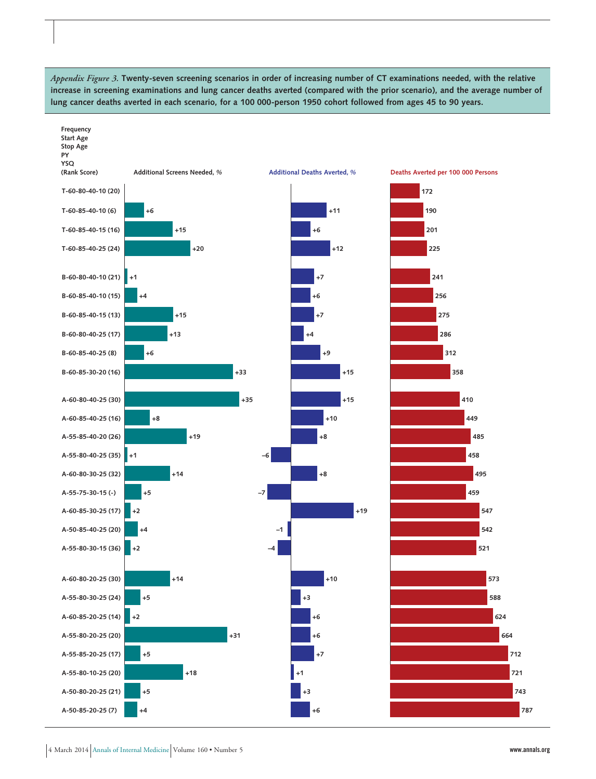*Appendix Figure 3.* **Twenty-seven screening scenarios in order of increasing number of CT examinations needed, with the relative increase in screening examinations and lung cancer deaths averted (compared with the prior scenario), and the average number of lung cancer deaths averted in each scenario, for a 100 000-person 1950 cohort followed from ages 45 to 90 years.**